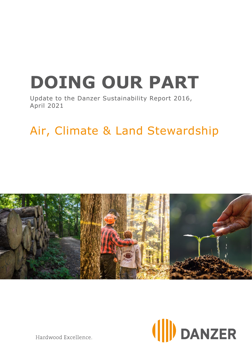# **DOING OUR PART**

Update to the Danzer Sustainability Report 2016, April 2021

# Air, Climate & Land Stewardship





Hardwood Excellence.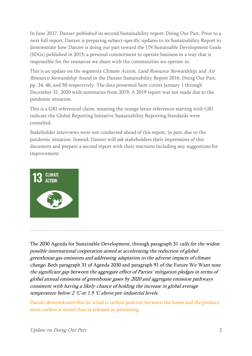In June 2017, Danzer published its second Sustainability report: Doing Our Part. Prior to a next full report, Danzer is preparing subject-specific updates to its Sustainability Report to demonstrate how Danzer is doing our part toward the UN Sustainable Development Goals (SDGs) published in 2015; a personal commitment to operate business in a way that is responsible for the resources we share with the communities we operate in.

This is an update on the segments *Climate Action, Land Resource Stewardship*, and *Air* Resource Stewardship found in the Danzer Sustainability Report 2016: Doing Our Part, pp. 34, 46, and 50 respectively. The data presented here covers January 1 through December 31, 2020 with summaries from 2019. A 2019 report was not made due to the pandemic situation.

This is a GRI referenced claim, meaning the orange letter references starting with GRI indicate the Global Reporting Initiative Sustainability Reporting Standards were consulted.

Stakeholder interviews were not conducted ahead of this report, in part, due to the pandemic situation. Instead, Danzer will ask stakeholders their impressions of this document and prepare a second report with their reactions including any suggestions for improvement.



The 2030 Agenda for Sustainable Development, through paragraph 31 calls for the widest possible international cooperation aimed at accelerating the reduction of global greenhouse gas emissions and addressing adaptation to the adverse impacts of climate change. Both paragraph 31 of Agenda 2030 and paragraph 91 of the Future We Want note the significant gap between the aggregate effect of Parties' mitigation pledges in terms of global annual emissions of greenhouse gases by 2020 and aggregate emission pathways consistent with having a likely chance of holding the increase in global average temperature below 2 °C or 1.5 °C above pre-industrial levels.

Danzer demonstrates that its wood is carbon positive: between the forest and the product, more carbon is stored than is released in processing.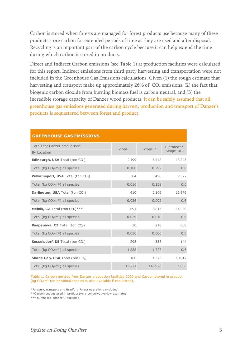Carbon is stored when forests are managed for forest products use because many of these products store carbon for extended periods of time as they are used and after disposal. Recycling is an important part of the carbon cycle because it can help extend the time during which carbon is stored in products.

Direct and Indirect Carbon emissions (see Table 1) at production facilities were calculated for this report. Indirect emissions from third party harvesting and transportation were not included in the Greenhouse Gas Emissions calculations. Given (1) the rough estimate that harvesting and transport make up approximately 26% of CO<sub>2</sub> emissions, (2) the fact that biogenic carbon dioxide from burning biomass fuel is carbon neutral, and (3) the incredible storage capacity of Danzer wood products, it can be safely assumed that all greenhouse gas emissions generated during harvest, production and transport of Danzer's products is sequestered between forest and product.

| UNLLINIIVUJL UAJ LIIIJJIUNJ                  |         |         |                         |
|----------------------------------------------|---------|---------|-------------------------|
| Totals for Danzer production*<br>By Location | Scope 1 | Scope 2 | C stored**<br>Scope 1&2 |
| <b>Edinburgh, USA</b> Total (ton $CO2$ )     | 2'199   | 6'442   | 13'243                  |
| Total (kg $CO2/m2$ ) all species             | 0.100   | 0.292   | 0.6                     |
| <b>Williamsport, USA</b> Total (ton $CO2$ )  | 364     | 3'496   | 7'322                   |
| Total (kg $CO2/m2$ ) all species             | 0.016   | 0.158   | 0.6                     |
| <b>Darlington, USA</b> Total (ton $CO2$ )    | 610     | 2'106   | 13'976                  |
| Total ( $kg CO2/m2$ ) all species            | 0.026   | 0.002   | 0.6                     |
| Melnik, CZ Total (ton $CO2$ )***             | 691     | 8'816   | 14'539                  |
| Total (kg $CO2/m2$ ) all species             | 0.029   | 0.010   | 0.6                     |
| <b>Raspenava, CZ</b> Total (ton $CO2$ )      | 30      | 218     | 608                     |
| Total (kg $CO2/m2$ ) all species             | 0.030   | 0.006   | 0.6                     |
| <b>Kesselsdorf, DE</b> Total (ton $CO2$ )    | 295     | 338     | 144                     |
| Total ( $kg CO2/m2$ ) all species            | 1'288   | 1'727   | 0.6                     |
| <b>Shade Gap, USA</b> Total (ton $CO2$ )     | 160     | 1'373   | 10'017                  |
| Total (kg $CO2/m3$ ) all species             | 16'771  | 143'920 | 1'050                   |

#### **GREENHOUSE GAS EMISSIONS**

Table 1. Carbon emitted from Danzer production facilities 2020 and Carbon stored in product (kg CO₂/m² for individual species is also available if requested).

\*Forestry, transport and Bradford Forest operations excluded.

\*\*Carbon sequestered in product (very conservative/low estimate)

\*\*\* purchased lumber C excluded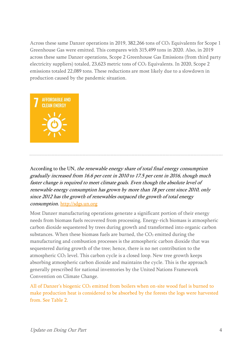Across these same Danzer operations in 2019, 382,266 tons of CO<sub>2</sub> Equivalents for Scope 1 Greenhouse Gas were emitted. This compares with 315,499 tons in 2020. Also, in 2019 across these same Danzer operations, Scope 2 Greenhouse Gas Emissions (from third party electricity suppliers) totaled, 23,623 metric tons of CO<sub>2</sub> Equivalents. In 2020, Scope 2 emissions totaled 22,089 tons. These reductions are most likely due to a slowdown in production caused by the pandemic situation.



According to the UN, the renewable energy share of total final energy consumption gradually increased from 16.6 per cent in 2010 to 17.5 per cent in 2016, though much faster change is required to meet climate goals. Even though the absolute level of renewable energy consumption has grown by more than 18 per cent since 2010, only since 2012 has the growth of renewables outpaced the growth of total energy consumption. [http://sdgs.un.org](http://sdgs.un.org/)

Most Danzer manufacturing operations generate a significant portion of their energy needs from biomass fuels recovered from processing. Energy-rich biomass is atmospheric carbon dioxide sequestered by trees during growth and transformed into organic carbon substances. When these biomass fuels are burned, the CO2 emitted during the manufacturing and combustion processes is the atmospheric carbon dioxide that was sequestered during growth of the tree; hence, there is no net contribution to the atmospheric CO₂ level. This carbon cycle is a closed loop. New tree growth keeps absorbing atmospheric carbon dioxide and maintains the cycle. This is the approach generally prescribed for national inventories by the United Nations Framework Convention on Climate Change.

All of Danzer's biogenic CO<sub>2</sub> emitted from boilers when on-site wood fuel is burned to make production heat is considered to be absorbed by the forests the logs were harvested from. See Table 2.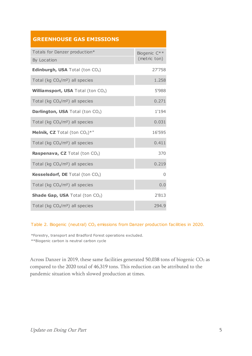## **GREENHOUSE GAS EMISSIONS**

| Totals for Danzer production*                      | Biogenic C** |
|----------------------------------------------------|--------------|
| By Location                                        | (metric ton) |
| <b>Edinburgh, USA</b> Total (ton $CO2$ )           | 27'758       |
| Total (kg $CO2/m2$ ) all species                   | 1.258        |
| <b>Williamsport, USA</b> Total (ton $CO2$ )        | 5'988        |
| Total (kg $CO2/m2$ ) all species                   | 0.271        |
| <b>Darlington, USA Total (ton CO2)</b>             | 1'194        |
| Total (kg $CO2/m2$ ) all species                   | 0.031        |
| <b>Melnik, CZ</b> Total (ton $CO2)$ <sup>*</sup> " | 16'595       |
| Total (kg $CO2/m2$ ) all species                   | 0.411        |
| <b>Raspenava, CZ</b> Total (ton $CO2$ )            | 370          |
| Total (kg $CO2/m2$ ) all species                   | 0.219        |
| <b>Kesselsdorf, DE</b> Total (ton $CO2$ )          | $\Omega$     |
| Total (kg $CO2/m2$ ) all species                   | 0.0          |
| <b>Shade Gap, USA</b> Total (ton $CO2$ )           | 2'813        |
| Total (kg $CO2/m3$ ) all species                   | 294.9        |

#### Table 2. Biogenic (neutral) CO<sub>2</sub> emissions from Danzer production facilities in 2020.

\*Forestry, transport and Bradford Forest operations excluded. \*\*Biogenic carbon is neutral carbon cycle

Across Danzer in 2019, these same facilities generated 50,038 tons of biogenic CO<sub>2</sub> as compared to the 2020 total of 46,319 tons. This reduction can be attributed to the pandemic situation which slowed production at times.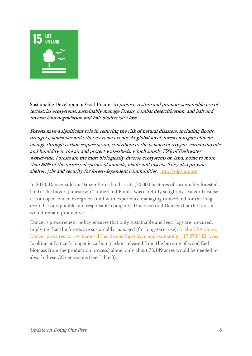

Sustainable Development Goal 15 aims to protect, restore and promote sustainable use of terrestrial ecosystems, sustainably manage forests, combat desertification, and halt and reverse land degradation and halt biodiversity loss.

Forests have a significant role in reducing the risk of natural disasters, including floods, droughts, landslides and other extreme events. At global level, forests mitigate climate change through carbon sequestration, contribute to the balance of oxygen, carbon dioxide and humidity in the air and protect watersheds, which supply 75% of freshwater worldwide. Forests are the most biologically-diverse ecosystems on land, home to more than 80% of the terrestrial species of animals, plants and insects. They also provide shelter, jobs and security for forest-dependent communities. [http://sdgs.un.org](http://sdgs.un.org/)

In 2020, Danzer sold its Danzer Forestland assets (20,000 hectares of sustainably forested land). The buyer, Jamestown Timberland Funds, was carefully sought by Danzer because it is an open-ended evergreen fund with experience managing timberland for the long term. It is a reputable and responsible company. This reassured Danzer that the forests would remain productive.

Danzer's procurement policy ensures that only sustainable and legal logs are procured, implying that the forests are sustainably managed (for long-term use). In the USA alone, Danzer procures its raw material (hardwood logs) from approximately, 117,273,112 acres. Looking at Danzer's biogenic carbon (carbon released from the burning of wood fuel biomass from the production process) alone, only about 78,149 acres would be needed to absorb these CO₂ emissions (see Table 3).